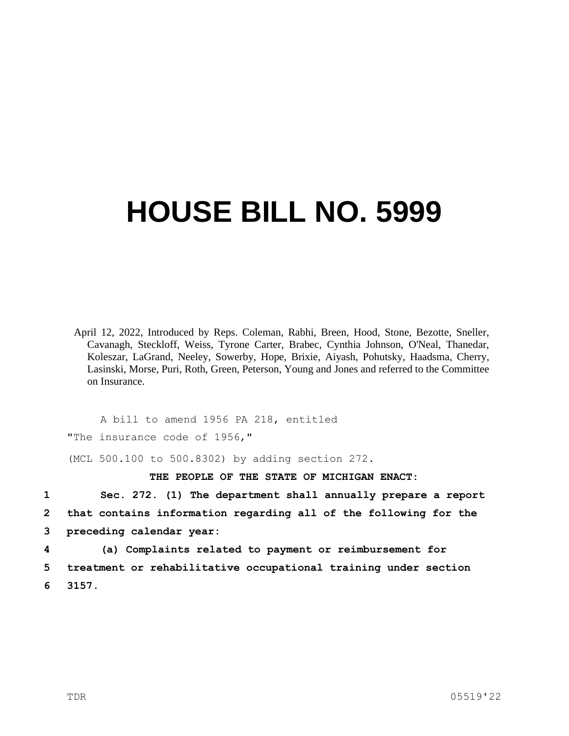## **HOUSE BILL NO. 5999**

April 12, 2022, Introduced by Reps. Coleman, Rabhi, Breen, Hood, Stone, Bezotte, Sneller, Cavanagh, Steckloff, Weiss, Tyrone Carter, Brabec, Cynthia Johnson, O'Neal, Thanedar, Koleszar, LaGrand, Neeley, Sowerby, Hope, Brixie, Aiyash, Pohutsky, Haadsma, Cherry, Lasinski, Morse, Puri, Roth, Green, Peterson, Young and Jones and referred to the Committee on Insurance.

A bill to amend 1956 PA 218, entitled "The insurance code of 1956,"

(MCL 500.100 to 500.8302) by adding section 272.

**THE PEOPLE OF THE STATE OF MICHIGAN ENACT:**

**1 Sec. 272. (1) The department shall annually prepare a report 2 that contains information regarding all of the following for the 3 preceding calendar year:**

**4 (a) Complaints related to payment or reimbursement for 5 treatment or rehabilitative occupational training under section 6 3157.**